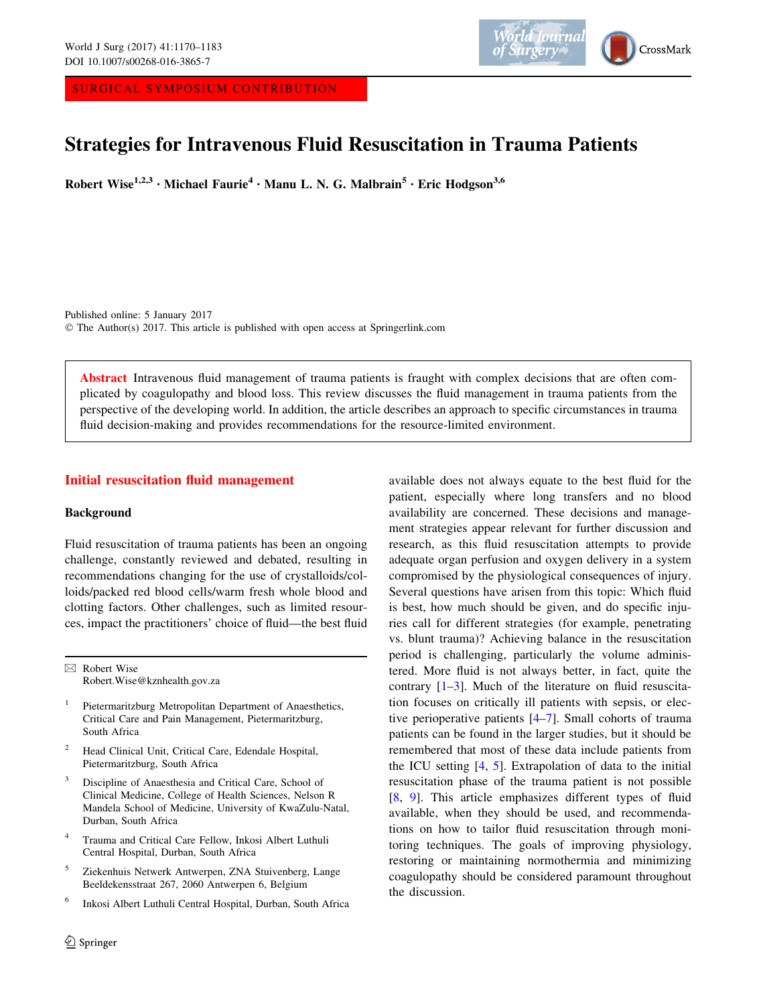SURGICAL SYMPOSIUM CONTRIBUTION



# Strategies for Intravenous Fluid Resuscitation in Trauma Patients

Robert Wise<sup>1,2,3</sup> • Michael Faurie<sup>4</sup> • Manu L. N. G. Malbrain<sup>5</sup> • Eric Hodgson<sup>3,6</sup>

Published online: 5 January 2017 © The Author(s) 2017. This article is published with open access at Springerlink.com

Abstract Intravenous fluid management of trauma patients is fraught with complex decisions that are often complicated by coagulopathy and blood loss. This review discusses the fluid management in trauma patients from the perspective of the developing world. In addition, the article describes an approach to specific circumstances in trauma fluid decision-making and provides recommendations for the resource-limited environment.

## Initial resuscitation fluid management

## Background

Fluid resuscitation of trauma patients has been an ongoing challenge, constantly reviewed and debated, resulting in recommendations changing for the use of crystalloids/colloids/packed red blood cells/warm fresh whole blood and clotting factors. Other challenges, such as limited resources, impact the practitioners' choice of fluid—the best fluid

 $\boxtimes$  Robert Wise Robert.Wise@kznhealth.gov.za

- <sup>1</sup> Pietermaritzburg Metropolitan Department of Anaesthetics, Critical Care and Pain Management, Pietermaritzburg, South Africa
- <sup>2</sup> Head Clinical Unit, Critical Care, Edendale Hospital, Pietermaritzburg, South Africa
- <sup>3</sup> Discipline of Anaesthesia and Critical Care, School of Clinical Medicine, College of Health Sciences, Nelson R Mandela School of Medicine, University of KwaZulu-Natal, Durban, South Africa
- <sup>4</sup> Trauma and Critical Care Fellow, Inkosi Albert Luthuli Central Hospital, Durban, South Africa
- <sup>5</sup> Ziekenhuis Netwerk Antwerpen, ZNA Stuivenberg, Lange Beeldekensstraat 267, 2060 Antwerpen 6, Belgium
- <sup>6</sup> Inkosi Albert Luthuli Central Hospital, Durban, South Africa

available does not always equate to the best fluid for the patient, especially where long transfers and no blood availability are concerned. These decisions and management strategies appear relevant for further discussion and research, as this fluid resuscitation attempts to provide adequate organ perfusion and oxygen delivery in a system compromised by the physiological consequences of injury. Several questions have arisen from this topic: Which fluid is best, how much should be given, and do specific injuries call for different strategies (for example, penetrating vs. blunt trauma)? Achieving balance in the resuscitation period is challenging, particularly the volume administered. More fluid is not always better, in fact, quite the contrary [\[1–3](#page-10-0)]. Much of the literature on fluid resuscitation focuses on critically ill patients with sepsis, or elective perioperative patients [[4–7\]](#page-10-0). Small cohorts of trauma patients can be found in the larger studies, but it should be remembered that most of these data include patients from the ICU setting [[4,](#page-10-0) [5\]](#page-10-0). Extrapolation of data to the initial resuscitation phase of the trauma patient is not possible [\[8](#page-10-0), [9\]](#page-10-0). This article emphasizes different types of fluid available, when they should be used, and recommendations on how to tailor fluid resuscitation through monitoring techniques. The goals of improving physiology, restoring or maintaining normothermia and minimizing coagulopathy should be considered paramount throughout the discussion.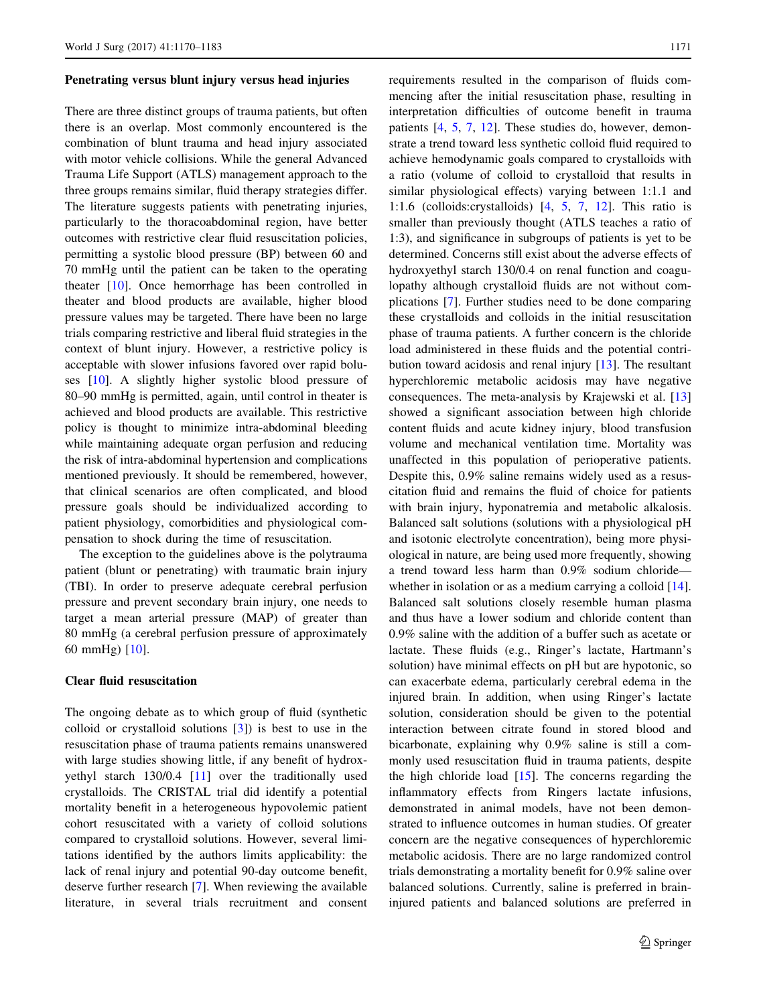#### Penetrating versus blunt injury versus head injuries

There are three distinct groups of trauma patients, but often there is an overlap. Most commonly encountered is the combination of blunt trauma and head injury associated with motor vehicle collisions. While the general Advanced Trauma Life Support (ATLS) management approach to the three groups remains similar, fluid therapy strategies differ. The literature suggests patients with penetrating injuries, particularly to the thoracoabdominal region, have better outcomes with restrictive clear fluid resuscitation policies, permitting a systolic blood pressure (BP) between 60 and 70 mmHg until the patient can be taken to the operating theater [[10\]](#page-10-0). Once hemorrhage has been controlled in theater and blood products are available, higher blood pressure values may be targeted. There have been no large trials comparing restrictive and liberal fluid strategies in the context of blunt injury. However, a restrictive policy is acceptable with slower infusions favored over rapid boluses [[10\]](#page-10-0). A slightly higher systolic blood pressure of 80–90 mmHg is permitted, again, until control in theater is achieved and blood products are available. This restrictive policy is thought to minimize intra-abdominal bleeding while maintaining adequate organ perfusion and reducing the risk of intra-abdominal hypertension and complications mentioned previously. It should be remembered, however, that clinical scenarios are often complicated, and blood pressure goals should be individualized according to patient physiology, comorbidities and physiological compensation to shock during the time of resuscitation.

The exception to the guidelines above is the polytrauma patient (blunt or penetrating) with traumatic brain injury (TBI). In order to preserve adequate cerebral perfusion pressure and prevent secondary brain injury, one needs to target a mean arterial pressure (MAP) of greater than 80 mmHg (a cerebral perfusion pressure of approximately 60 mmHg) [\[10](#page-10-0)].

## Clear fluid resuscitation

The ongoing debate as to which group of fluid (synthetic colloid or crystalloid solutions [[3\]](#page-10-0)) is best to use in the resuscitation phase of trauma patients remains unanswered with large studies showing little, if any benefit of hydroxyethyl starch 130/0.4 [[11\]](#page-10-0) over the traditionally used crystalloids. The CRISTAL trial did identify a potential mortality benefit in a heterogeneous hypovolemic patient cohort resuscitated with a variety of colloid solutions compared to crystalloid solutions. However, several limitations identified by the authors limits applicability: the lack of renal injury and potential 90-day outcome benefit, deserve further research [\[7](#page-10-0)]. When reviewing the available literature, in several trials recruitment and consent requirements resulted in the comparison of fluids commencing after the initial resuscitation phase, resulting in interpretation difficulties of outcome benefit in trauma patients [\[4](#page-10-0), [5,](#page-10-0) [7,](#page-10-0) [12](#page-11-0)]. These studies do, however, demonstrate a trend toward less synthetic colloid fluid required to achieve hemodynamic goals compared to crystalloids with a ratio (volume of colloid to crystalloid that results in similar physiological effects) varying between 1:1.1 and 1:1.6 (colloids:crystalloids) [[4,](#page-10-0) [5,](#page-10-0) [7](#page-10-0), [12](#page-11-0)]. This ratio is smaller than previously thought (ATLS teaches a ratio of 1:3), and significance in subgroups of patients is yet to be determined. Concerns still exist about the adverse effects of hydroxyethyl starch 130/0.4 on renal function and coagulopathy although crystalloid fluids are not without complications [\[7](#page-10-0)]. Further studies need to be done comparing these crystalloids and colloids in the initial resuscitation phase of trauma patients. A further concern is the chloride load administered in these fluids and the potential contribution toward acidosis and renal injury [\[13](#page-11-0)]. The resultant hyperchloremic metabolic acidosis may have negative consequences. The meta-analysis by Krajewski et al. [[13\]](#page-11-0) showed a significant association between high chloride content fluids and acute kidney injury, blood transfusion volume and mechanical ventilation time. Mortality was unaffected in this population of perioperative patients. Despite this, 0.9% saline remains widely used as a resuscitation fluid and remains the fluid of choice for patients with brain injury, hyponatremia and metabolic alkalosis. Balanced salt solutions (solutions with a physiological pH and isotonic electrolyte concentration), being more physiological in nature, are being used more frequently, showing a trend toward less harm than 0.9% sodium chloride— whether in isolation or as a medium carrying a colloid [\[14](#page-11-0)]. Balanced salt solutions closely resemble human plasma and thus have a lower sodium and chloride content than 0.9% saline with the addition of a buffer such as acetate or lactate. These fluids (e.g., Ringer's lactate, Hartmann's solution) have minimal effects on pH but are hypotonic, so can exacerbate edema, particularly cerebral edema in the injured brain. In addition, when using Ringer's lactate solution, consideration should be given to the potential interaction between citrate found in stored blood and bicarbonate, explaining why 0.9% saline is still a commonly used resuscitation fluid in trauma patients, despite the high chloride load  $[15]$  $[15]$ . The concerns regarding the inflammatory effects from Ringers lactate infusions, demonstrated in animal models, have not been demonstrated to influence outcomes in human studies. Of greater concern are the negative consequences of hyperchloremic metabolic acidosis. There are no large randomized control trials demonstrating a mortality benefit for 0.9% saline over balanced solutions. Currently, saline is preferred in braininjured patients and balanced solutions are preferred in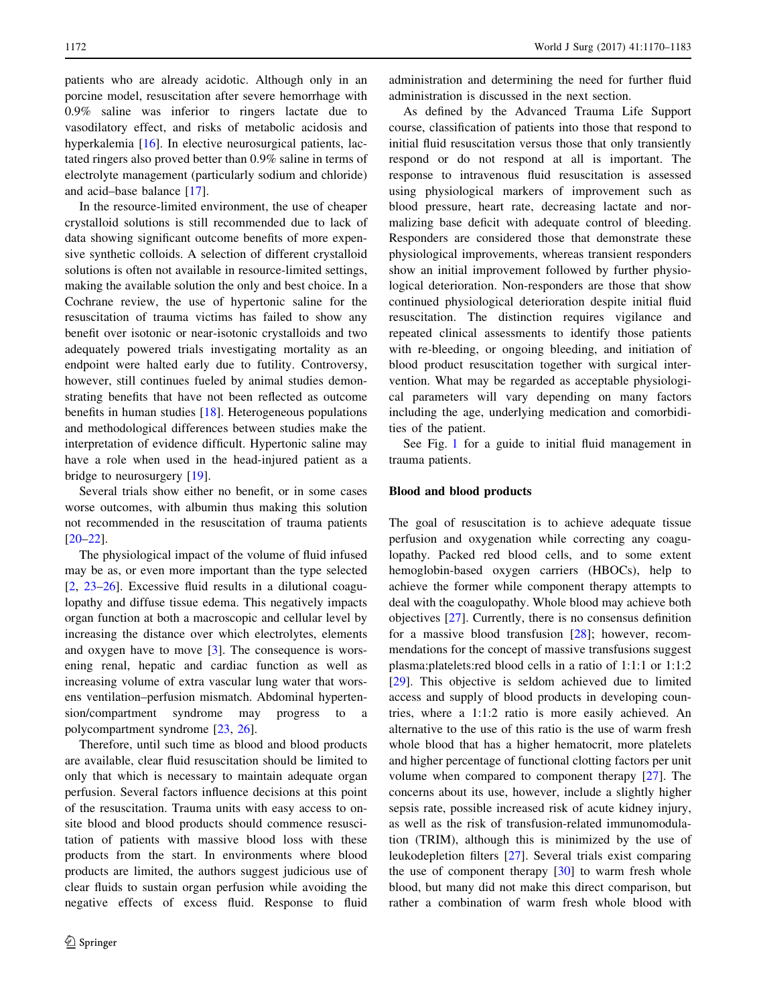patients who are already acidotic. Although only in an porcine model, resuscitation after severe hemorrhage with 0.9% saline was inferior to ringers lactate due to vasodilatory effect, and risks of metabolic acidosis and hyperkalemia [[16\]](#page-11-0). In elective neurosurgical patients, lactated ringers also proved better than 0.9% saline in terms of electrolyte management (particularly sodium and chloride) and acid–base balance [[17\]](#page-11-0).

In the resource-limited environment, the use of cheaper crystalloid solutions is still recommended due to lack of data showing significant outcome benefits of more expensive synthetic colloids. A selection of different crystalloid solutions is often not available in resource-limited settings, making the available solution the only and best choice. In a Cochrane review, the use of hypertonic saline for the resuscitation of trauma victims has failed to show any benefit over isotonic or near-isotonic crystalloids and two adequately powered trials investigating mortality as an endpoint were halted early due to futility. Controversy, however, still continues fueled by animal studies demonstrating benefits that have not been reflected as outcome benefits in human studies [\[18](#page-11-0)]. Heterogeneous populations and methodological differences between studies make the interpretation of evidence difficult. Hypertonic saline may have a role when used in the head-injured patient as a bridge to neurosurgery [\[19](#page-11-0)].

Several trials show either no benefit, or in some cases worse outcomes, with albumin thus making this solution not recommended in the resuscitation of trauma patients [\[20–22](#page-11-0)].

The physiological impact of the volume of fluid infused may be as, or even more important than the type selected [\[2](#page-10-0), [23–26](#page-11-0)]. Excessive fluid results in a dilutional coagulopathy and diffuse tissue edema. This negatively impacts organ function at both a macroscopic and cellular level by increasing the distance over which electrolytes, elements and oxygen have to move [[3\]](#page-10-0). The consequence is worsening renal, hepatic and cardiac function as well as increasing volume of extra vascular lung water that worsens ventilation–perfusion mismatch. Abdominal hypertension/compartment syndrome may progress to a polycompartment syndrome [\[23](#page-11-0), [26\]](#page-11-0).

Therefore, until such time as blood and blood products are available, clear fluid resuscitation should be limited to only that which is necessary to maintain adequate organ perfusion. Several factors influence decisions at this point of the resuscitation. Trauma units with easy access to onsite blood and blood products should commence resuscitation of patients with massive blood loss with these products from the start. In environments where blood products are limited, the authors suggest judicious use of clear fluids to sustain organ perfusion while avoiding the negative effects of excess fluid. Response to fluid

administration and determining the need for further fluid administration is discussed in the next section.

As defined by the Advanced Trauma Life Support course, classification of patients into those that respond to initial fluid resuscitation versus those that only transiently respond or do not respond at all is important. The response to intravenous fluid resuscitation is assessed using physiological markers of improvement such as blood pressure, heart rate, decreasing lactate and normalizing base deficit with adequate control of bleeding. Responders are considered those that demonstrate these physiological improvements, whereas transient responders show an initial improvement followed by further physiological deterioration. Non-responders are those that show continued physiological deterioration despite initial fluid resuscitation. The distinction requires vigilance and repeated clinical assessments to identify those patients with re-bleeding, or ongoing bleeding, and initiation of blood product resuscitation together with surgical intervention. What may be regarded as acceptable physiological parameters will vary depending on many factors including the age, underlying medication and comorbidities of the patient.

See Fig. [1](#page-3-0) for a guide to initial fluid management in trauma patients.

## Blood and blood products

The goal of resuscitation is to achieve adequate tissue perfusion and oxygenation while correcting any coagulopathy. Packed red blood cells, and to some extent hemoglobin-based oxygen carriers (HBOCs), help to achieve the former while component therapy attempts to deal with the coagulopathy. Whole blood may achieve both objectives [\[27](#page-11-0)]. Currently, there is no consensus definition for a massive blood transfusion [[28\]](#page-11-0); however, recommendations for the concept of massive transfusions suggest plasma:platelets:red blood cells in a ratio of 1:1:1 or 1:1:2 [\[29](#page-11-0)]. This objective is seldom achieved due to limited access and supply of blood products in developing countries, where a 1:1:2 ratio is more easily achieved. An alternative to the use of this ratio is the use of warm fresh whole blood that has a higher hematocrit, more platelets and higher percentage of functional clotting factors per unit volume when compared to component therapy [[27\]](#page-11-0). The concerns about its use, however, include a slightly higher sepsis rate, possible increased risk of acute kidney injury, as well as the risk of transfusion-related immunomodulation (TRIM), although this is minimized by the use of leukodepletion filters [\[27](#page-11-0)]. Several trials exist comparing the use of component therapy  $[30]$  $[30]$  to warm fresh whole blood, but many did not make this direct comparison, but rather a combination of warm fresh whole blood with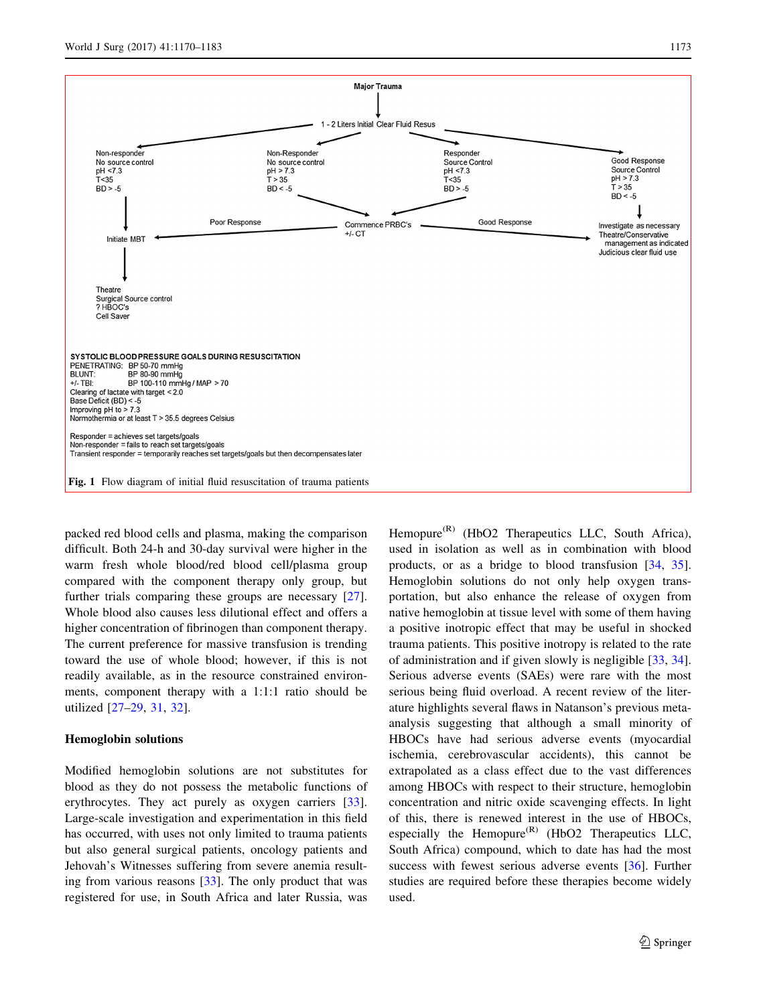<span id="page-3-0"></span>

packed red blood cells and plasma, making the comparison difficult. Both 24-h and 30-day survival were higher in the warm fresh whole blood/red blood cell/plasma group compared with the component therapy only group, but further trials comparing these groups are necessary [\[27](#page-11-0)]. Whole blood also causes less dilutional effect and offers a higher concentration of fibrinogen than component therapy. The current preference for massive transfusion is trending toward the use of whole blood; however, if this is not readily available, as in the resource constrained environments, component therapy with a 1:1:1 ratio should be utilized [[27–29,](#page-11-0) [31,](#page-11-0) [32](#page-11-0)].

#### Hemoglobin solutions

Modified hemoglobin solutions are not substitutes for blood as they do not possess the metabolic functions of erythrocytes. They act purely as oxygen carriers [\[33](#page-11-0)]. Large-scale investigation and experimentation in this field has occurred, with uses not only limited to trauma patients but also general surgical patients, oncology patients and Jehovah's Witnesses suffering from severe anemia resulting from various reasons [[33\]](#page-11-0). The only product that was registered for use, in South Africa and later Russia, was

Hemopure<sup>(R)</sup> (HbO2 Therapeutics LLC, South Africa), used in isolation as well as in combination with blood products, or as a bridge to blood transfusion [[34,](#page-11-0) [35](#page-11-0)]. Hemoglobin solutions do not only help oxygen transportation, but also enhance the release of oxygen from native hemoglobin at tissue level with some of them having a positive inotropic effect that may be useful in shocked trauma patients. This positive inotropy is related to the rate of administration and if given slowly is negligible [\[33](#page-11-0), [34](#page-11-0)]. Serious adverse events (SAEs) were rare with the most serious being fluid overload. A recent review of the literature highlights several flaws in Natanson's previous metaanalysis suggesting that although a small minority of HBOCs have had serious adverse events (myocardial ischemia, cerebrovascular accidents), this cannot be extrapolated as a class effect due to the vast differences among HBOCs with respect to their structure, hemoglobin concentration and nitric oxide scavenging effects. In light of this, there is renewed interest in the use of HBOCs, especially the Hemopure<sup>(R)</sup> (HbO2 Therapeutics LLC, South Africa) compound, which to date has had the most success with fewest serious adverse events [[36\]](#page-11-0). Further studies are required before these therapies become widely used.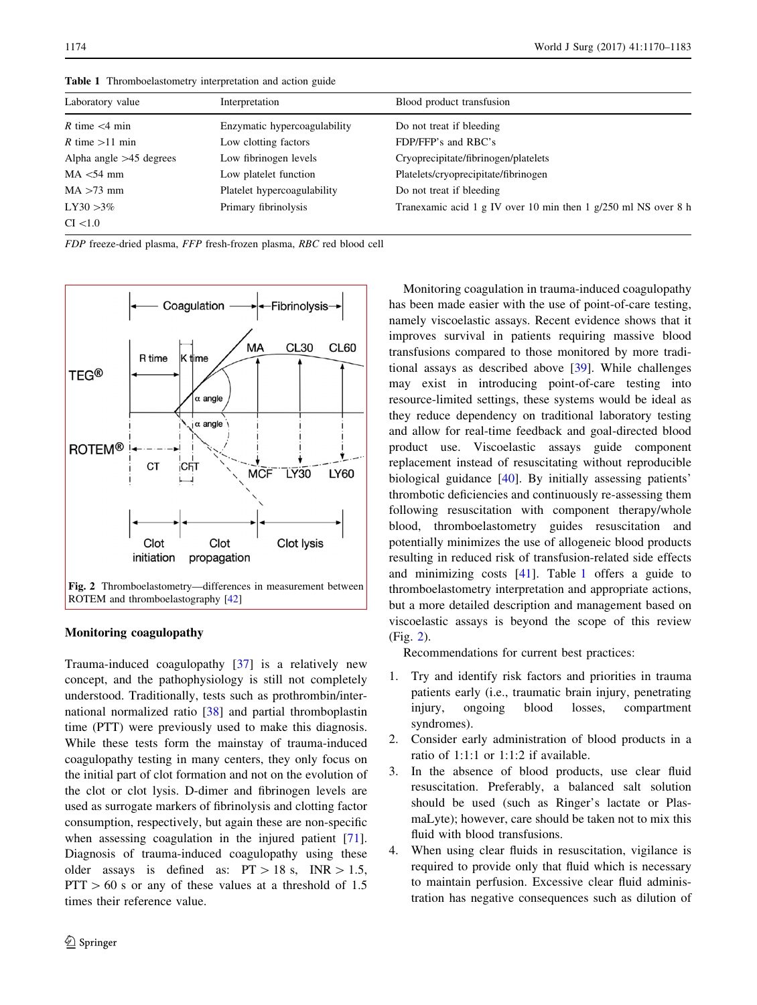| Laboratory value          | Interpretation               | Blood product transfusion                                      |
|---------------------------|------------------------------|----------------------------------------------------------------|
| R time $\leq 4$ min       | Enzymatic hypercoagulability | Do not treat if bleeding                                       |
| R time $>11$ min          | Low clotting factors         | FDP/FFP's and RBC's                                            |
| Alpha angle $>45$ degrees | Low fibrinogen levels        | Cryoprecipitate/fibrinogen/platelets                           |
| $MA < 54$ mm              | Low platelet function        | Platelets/cryoprecipitate/fibrinogen                           |
| $MA > 73$ mm              | Platelet hypercoagulability  | Do not treat if bleeding                                       |
| $LY30 > 3\%$              | Primary fibrinolysis         | Tranexamic acid 1 g IV over 10 min then 1 g/250 ml NS over 8 h |
| CI < 1.0                  |                              |                                                                |

Table 1 Thromboelastometry interpretation and action guide

FDP freeze-dried plasma, FFP fresh-frozen plasma, RBC red blood cell



#### Monitoring coagulopathy

Trauma-induced coagulopathy [\[37](#page-11-0)] is a relatively new concept, and the pathophysiology is still not completely understood. Traditionally, tests such as prothrombin/international normalized ratio [[38\]](#page-11-0) and partial thromboplastin time (PTT) were previously used to make this diagnosis. While these tests form the mainstay of trauma-induced coagulopathy testing in many centers, they only focus on the initial part of clot formation and not on the evolution of the clot or clot lysis. D-dimer and fibrinogen levels are used as surrogate markers of fibrinolysis and clotting factor consumption, respectively, but again these are non-specific when assessing coagulation in the injured patient [\[71](#page-12-0)]. Diagnosis of trauma-induced coagulopathy using these older assays is defined as:  $PT > 18$  s,  $INR > 1.5$ ,  $PTT > 60$  s or any of these values at a threshold of 1.5 times their reference value.

Monitoring coagulation in trauma-induced coagulopathy has been made easier with the use of point-of-care testing, namely viscoelastic assays. Recent evidence shows that it improves survival in patients requiring massive blood transfusions compared to those monitored by more traditional assays as described above [\[39](#page-11-0)]. While challenges may exist in introducing point-of-care testing into resource-limited settings, these systems would be ideal as they reduce dependency on traditional laboratory testing and allow for real-time feedback and goal-directed blood product use. Viscoelastic assays guide component replacement instead of resuscitating without reproducible biological guidance [\[40](#page-11-0)]. By initially assessing patients' thrombotic deficiencies and continuously re-assessing them following resuscitation with component therapy/whole blood, thromboelastometry guides resuscitation and potentially minimizes the use of allogeneic blood products resulting in reduced risk of transfusion-related side effects and minimizing costs [[41\]](#page-11-0). Table 1 offers a guide to thromboelastometry interpretation and appropriate actions, but a more detailed description and management based on viscoelastic assays is beyond the scope of this review (Fig. 2).

Recommendations for current best practices:

- 1. Try and identify risk factors and priorities in trauma patients early (i.e., traumatic brain injury, penetrating injury, ongoing blood losses, compartment syndromes).
- 2. Consider early administration of blood products in a ratio of 1:1:1 or 1:1:2 if available.
- 3. In the absence of blood products, use clear fluid resuscitation. Preferably, a balanced salt solution should be used (such as Ringer's lactate or PlasmaLyte); however, care should be taken not to mix this fluid with blood transfusions.
- 4. When using clear fluids in resuscitation, vigilance is required to provide only that fluid which is necessary to maintain perfusion. Excessive clear fluid administration has negative consequences such as dilution of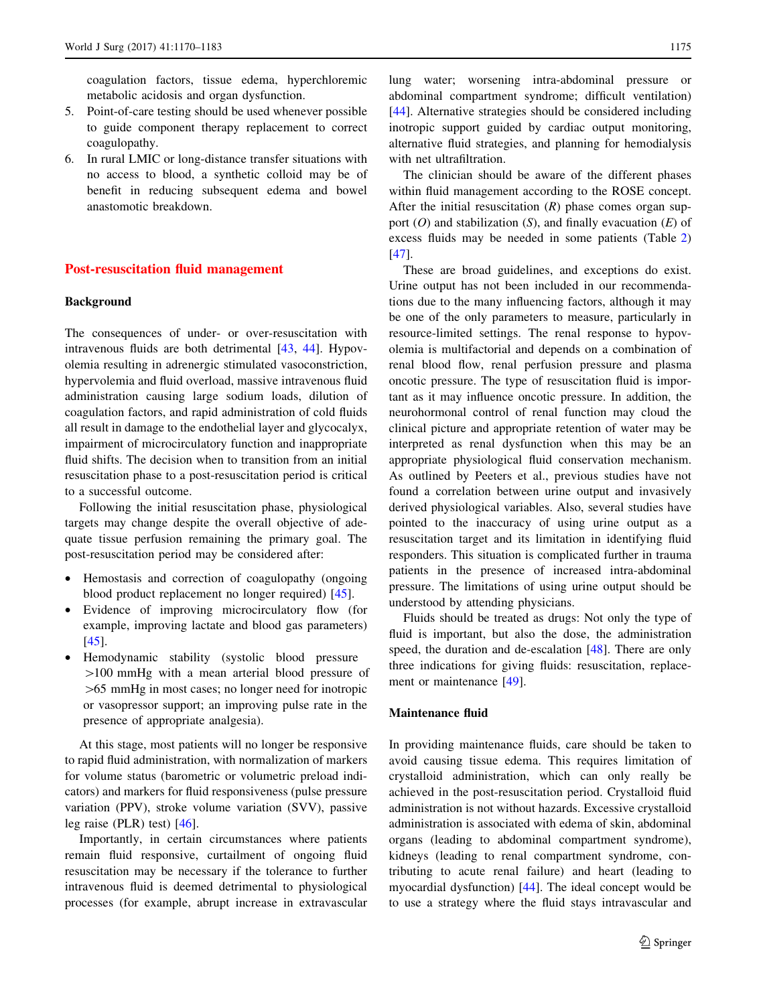coagulation factors, tissue edema, hyperchloremic metabolic acidosis and organ dysfunction.

- 5. Point-of-care testing should be used whenever possible to guide component therapy replacement to correct coagulopathy.
- 6. In rural LMIC or long-distance transfer situations with no access to blood, a synthetic colloid may be of benefit in reducing subsequent edema and bowel anastomotic breakdown.

## Post-resuscitation fluid management

#### Background

The consequences of under- or over-resuscitation with intravenous fluids are both detrimental [\[43](#page-11-0), [44](#page-11-0)]. Hypovolemia resulting in adrenergic stimulated vasoconstriction, hypervolemia and fluid overload, massive intravenous fluid administration causing large sodium loads, dilution of coagulation factors, and rapid administration of cold fluids all result in damage to the endothelial layer and glycocalyx, impairment of microcirculatory function and inappropriate fluid shifts. The decision when to transition from an initial resuscitation phase to a post-resuscitation period is critical to a successful outcome.

Following the initial resuscitation phase, physiological targets may change despite the overall objective of adequate tissue perfusion remaining the primary goal. The post-resuscitation period may be considered after:

- Hemostasis and correction of coagulopathy (ongoing blood product replacement no longer required) [[45](#page-11-0)].
- Evidence of improving microcirculatory flow (for example, improving lactate and blood gas parameters) [[45\]](#page-11-0).
- Hemodynamic stability (systolic blood pressure [100 mmHg with a mean arterial blood pressure of  $>65$  mmHg in most cases; no longer need for inotropic or vasopressor support; an improving pulse rate in the presence of appropriate analgesia).

At this stage, most patients will no longer be responsive to rapid fluid administration, with normalization of markers for volume status (barometric or volumetric preload indicators) and markers for fluid responsiveness (pulse pressure variation (PPV), stroke volume variation (SVV), passive leg raise (PLR) test) [\[46](#page-11-0)].

Importantly, in certain circumstances where patients remain fluid responsive, curtailment of ongoing fluid resuscitation may be necessary if the tolerance to further intravenous fluid is deemed detrimental to physiological processes (for example, abrupt increase in extravascular lung water; worsening intra-abdominal pressure or abdominal compartment syndrome; difficult ventilation) [\[44](#page-11-0)]. Alternative strategies should be considered including inotropic support guided by cardiac output monitoring, alternative fluid strategies, and planning for hemodialysis with net ultrafiltration.

The clinician should be aware of the different phases within fluid management according to the ROSE concept. After the initial resuscitation  $(R)$  phase comes organ support  $(O)$  and stabilization  $(S)$ , and finally evacuation  $(E)$  of excess fluids may be needed in some patients (Table [2\)](#page-6-0) [\[47](#page-11-0)].

These are broad guidelines, and exceptions do exist. Urine output has not been included in our recommendations due to the many influencing factors, although it may be one of the only parameters to measure, particularly in resource-limited settings. The renal response to hypovolemia is multifactorial and depends on a combination of renal blood flow, renal perfusion pressure and plasma oncotic pressure. The type of resuscitation fluid is important as it may influence oncotic pressure. In addition, the neurohormonal control of renal function may cloud the clinical picture and appropriate retention of water may be interpreted as renal dysfunction when this may be an appropriate physiological fluid conservation mechanism. As outlined by Peeters et al., previous studies have not found a correlation between urine output and invasively derived physiological variables. Also, several studies have pointed to the inaccuracy of using urine output as a resuscitation target and its limitation in identifying fluid responders. This situation is complicated further in trauma patients in the presence of increased intra-abdominal pressure. The limitations of using urine output should be understood by attending physicians.

Fluids should be treated as drugs: Not only the type of fluid is important, but also the dose, the administration speed, the duration and de-escalation [[48\]](#page-11-0). There are only three indications for giving fluids: resuscitation, replacement or maintenance [[49\]](#page-11-0).

## Maintenance fluid

In providing maintenance fluids, care should be taken to avoid causing tissue edema. This requires limitation of crystalloid administration, which can only really be achieved in the post-resuscitation period. Crystalloid fluid administration is not without hazards. Excessive crystalloid administration is associated with edema of skin, abdominal organs (leading to abdominal compartment syndrome), kidneys (leading to renal compartment syndrome, contributing to acute renal failure) and heart (leading to myocardial dysfunction) [[44\]](#page-11-0). The ideal concept would be to use a strategy where the fluid stays intravascular and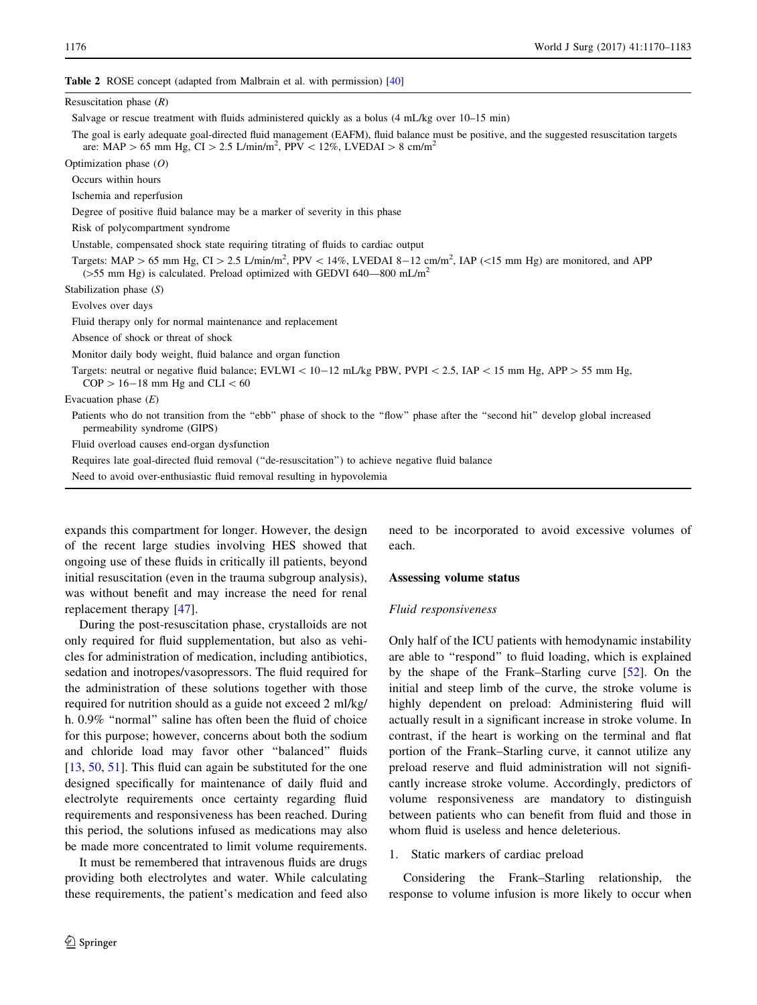<span id="page-6-0"></span>Table 2 ROSE concept (adapted from Malbrain et al. with permission) [[40](#page-11-0)]

| Resuscitation phase $(R)$                                                                                                                                                                                                                 |
|-------------------------------------------------------------------------------------------------------------------------------------------------------------------------------------------------------------------------------------------|
| Salvage or rescue treatment with fluids administered quickly as a bolus (4 mL/kg over 10–15 min)                                                                                                                                          |
| The goal is early adequate goal-directed fluid management (EAFM), fluid balance must be positive, and the suggested resuscitation targets<br>are: MAP > 65 mm Hg, CI > 2.5 L/min/m <sup>2</sup> , PPV < 12%, LVEDAI > 8 cm/m <sup>2</sup> |
| Optimization phase $(O)$                                                                                                                                                                                                                  |
| Occurs within hours                                                                                                                                                                                                                       |
| Ischemia and reperfusion                                                                                                                                                                                                                  |
| Degree of positive fluid balance may be a marker of severity in this phase                                                                                                                                                                |
| Risk of polycompartment syndrome                                                                                                                                                                                                          |
| Unstable, compensated shock state requiring titrating of fluids to cardiac output                                                                                                                                                         |
| Targets: MAP > 65 mm Hg, CI > 2.5 L/min/m <sup>2</sup> , PPV < 14%, LVEDAI 8-12 cm/m <sup>2</sup> , IAP (<15 mm Hg) are monitored, and APP<br>( $>55$ mm Hg) is calculated. Preload optimized with GEDVI 640–800 mL/m <sup>2</sup>        |
| Stabilization phase $(S)$                                                                                                                                                                                                                 |
| Evolves over days                                                                                                                                                                                                                         |
| Fluid therapy only for normal maintenance and replacement                                                                                                                                                                                 |
| Absence of shock or threat of shock                                                                                                                                                                                                       |
| Monitor daily body weight, fluid balance and organ function                                                                                                                                                                               |
| Targets: neutral or negative fluid balance; EVLWI < 10-12 mL/kg PBW, PVPI < 2.5, IAP < 15 mm Hg, APP > 55 mm Hg,<br>$COP > 16-18$ mm Hg and CLI $< 60$                                                                                    |
| Evacuation phase $(E)$                                                                                                                                                                                                                    |
| Patients who do not transition from the "ebb" phase of shock to the "flow" phase after the "second hit" develop global increased<br>permeability syndrome (GIPS)                                                                          |
| Fluid overload causes end-organ dysfunction                                                                                                                                                                                               |
| Requires late goal-directed fluid removal ("de-resuscitation") to achieve negative fluid balance                                                                                                                                          |
| Need to avoid over-enthusiastic fluid removal resulting in hypovolemia                                                                                                                                                                    |

expands this compartment for longer. However, the design of the recent large studies involving HES showed that ongoing use of these fluids in critically ill patients, beyond initial resuscitation (even in the trauma subgroup analysis), was without benefit and may increase the need for renal replacement therapy [\[47](#page-11-0)].

During the post-resuscitation phase, crystalloids are not only required for fluid supplementation, but also as vehicles for administration of medication, including antibiotics, sedation and inotropes/vasopressors. The fluid required for the administration of these solutions together with those required for nutrition should as a guide not exceed 2 ml/kg/ h. 0.9% ''normal'' saline has often been the fluid of choice for this purpose; however, concerns about both the sodium and chloride load may favor other ''balanced'' fluids [\[13](#page-11-0), [50,](#page-11-0) [51\]](#page-11-0). This fluid can again be substituted for the one designed specifically for maintenance of daily fluid and electrolyte requirements once certainty regarding fluid requirements and responsiveness has been reached. During this period, the solutions infused as medications may also be made more concentrated to limit volume requirements.

It must be remembered that intravenous fluids are drugs providing both electrolytes and water. While calculating these requirements, the patient's medication and feed also

need to be incorporated to avoid excessive volumes of each.

#### Assessing volume status

## Fluid responsiveness

Only half of the ICU patients with hemodynamic instability are able to ''respond'' to fluid loading, which is explained by the shape of the Frank–Starling curve [[52\]](#page-11-0). On the initial and steep limb of the curve, the stroke volume is highly dependent on preload: Administering fluid will actually result in a significant increase in stroke volume. In contrast, if the heart is working on the terminal and flat portion of the Frank–Starling curve, it cannot utilize any preload reserve and fluid administration will not significantly increase stroke volume. Accordingly, predictors of volume responsiveness are mandatory to distinguish between patients who can benefit from fluid and those in whom fluid is useless and hence deleterious.

## 1. Static markers of cardiac preload

Considering the Frank–Starling relationship, the response to volume infusion is more likely to occur when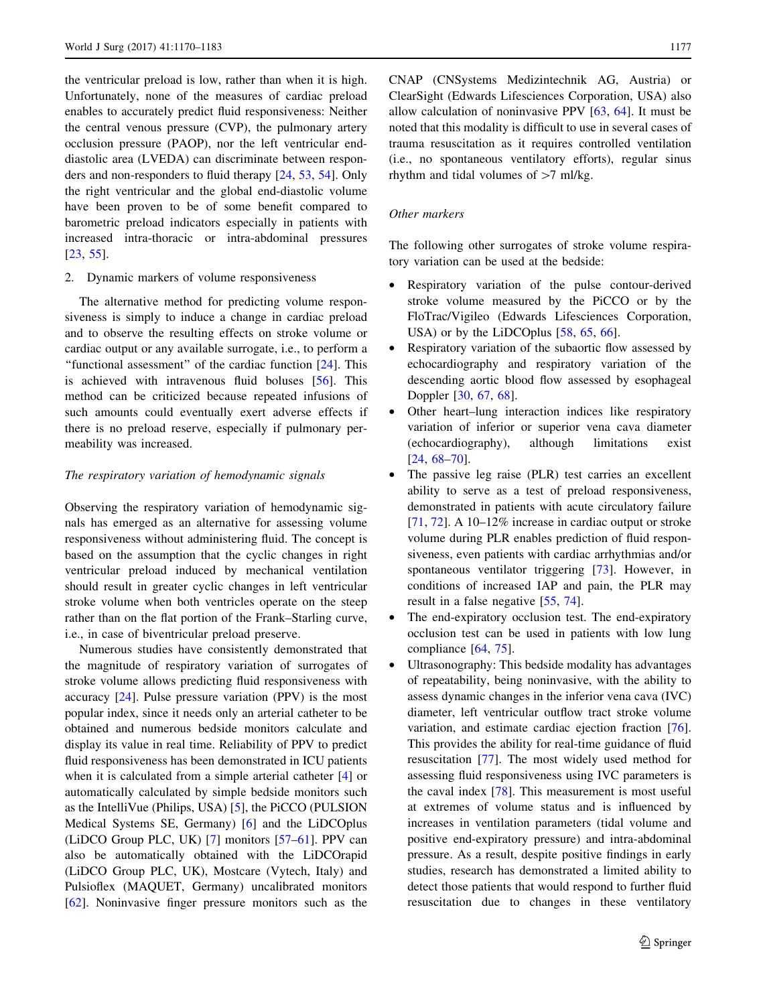the ventricular preload is low, rather than when it is high. Unfortunately, none of the measures of cardiac preload enables to accurately predict fluid responsiveness: Neither the central venous pressure (CVP), the pulmonary artery occlusion pressure (PAOP), nor the left ventricular enddiastolic area (LVEDA) can discriminate between responders and non-responders to fluid therapy [[24,](#page-11-0) [53](#page-11-0), [54\]](#page-12-0). Only the right ventricular and the global end-diastolic volume have been proven to be of some benefit compared to barometric preload indicators especially in patients with increased intra-thoracic or intra-abdominal pressures [\[23](#page-11-0), [55](#page-12-0)].

#### 2. Dynamic markers of volume responsiveness

The alternative method for predicting volume responsiveness is simply to induce a change in cardiac preload and to observe the resulting effects on stroke volume or cardiac output or any available surrogate, i.e., to perform a "functional assessment" of the cardiac function [\[24](#page-11-0)]. This is achieved with intravenous fluid boluses [[56\]](#page-12-0). This method can be criticized because repeated infusions of such amounts could eventually exert adverse effects if there is no preload reserve, especially if pulmonary permeability was increased.

## The respiratory variation of hemodynamic signals

Observing the respiratory variation of hemodynamic signals has emerged as an alternative for assessing volume responsiveness without administering fluid. The concept is based on the assumption that the cyclic changes in right ventricular preload induced by mechanical ventilation should result in greater cyclic changes in left ventricular stroke volume when both ventricles operate on the steep rather than on the flat portion of the Frank–Starling curve, i.e., in case of biventricular preload preserve.

Numerous studies have consistently demonstrated that the magnitude of respiratory variation of surrogates of stroke volume allows predicting fluid responsiveness with accuracy [[24\]](#page-11-0). Pulse pressure variation (PPV) is the most popular index, since it needs only an arterial catheter to be obtained and numerous bedside monitors calculate and display its value in real time. Reliability of PPV to predict fluid responsiveness has been demonstrated in ICU patients when it is calculated from a simple arterial catheter [\[4](#page-10-0)] or automatically calculated by simple bedside monitors such as the IntelliVue (Philips, USA) [[5\]](#page-10-0), the PiCCO (PULSION Medical Systems SE, Germany) [[6\]](#page-10-0) and the LiDCOplus (LiDCO Group PLC, UK) [\[7](#page-10-0)] monitors [\[57–61](#page-12-0)]. PPV can also be automatically obtained with the LiDCOrapid (LiDCO Group PLC, UK), Mostcare (Vytech, Italy) and Pulsioflex (MAQUET, Germany) uncalibrated monitors [\[62](#page-12-0)]. Noninvasive finger pressure monitors such as the CNAP (CNSystems Medizintechnik AG, Austria) or ClearSight (Edwards Lifesciences Corporation, USA) also allow calculation of noninvasive PPV [\[63](#page-12-0), [64](#page-12-0)]. It must be noted that this modality is difficult to use in several cases of trauma resuscitation as it requires controlled ventilation (i.e., no spontaneous ventilatory efforts), regular sinus rhythm and tidal volumes of  $>7$  ml/kg.

## Other markers

The following other surrogates of stroke volume respiratory variation can be used at the bedside:

- Respiratory variation of the pulse contour-derived stroke volume measured by the PiCCO or by the FloTrac/Vigileo (Edwards Lifesciences Corporation, USA) or by the LiDCOplus [[58,](#page-12-0) [65,](#page-12-0) [66\]](#page-12-0).
- Respiratory variation of the subaortic flow assessed by echocardiography and respiratory variation of the descending aortic blood flow assessed by esophageal Doppler [\[30](#page-11-0), [67,](#page-12-0) [68\]](#page-12-0).
- Other heart–lung interaction indices like respiratory variation of inferior or superior vena cava diameter (echocardiography), although limitations exist [\[24](#page-11-0), [68–70\]](#page-12-0).
- The passive leg raise (PLR) test carries an excellent ability to serve as a test of preload responsiveness, demonstrated in patients with acute circulatory failure [\[71](#page-12-0), [72](#page-12-0)]. A 10–12% increase in cardiac output or stroke volume during PLR enables prediction of fluid responsiveness, even patients with cardiac arrhythmias and/or spontaneous ventilator triggering [\[73](#page-12-0)]. However, in conditions of increased IAP and pain, the PLR may result in a false negative [\[55](#page-12-0), [74\]](#page-12-0).
- The end-expiratory occlusion test. The end-expiratory occlusion test can be used in patients with low lung compliance [[64,](#page-12-0) [75](#page-12-0)].
- Ultrasonography: This bedside modality has advantages of repeatability, being noninvasive, with the ability to assess dynamic changes in the inferior vena cava (IVC) diameter, left ventricular outflow tract stroke volume variation, and estimate cardiac ejection fraction [\[76](#page-12-0)]. This provides the ability for real-time guidance of fluid resuscitation [\[77](#page-12-0)]. The most widely used method for assessing fluid responsiveness using IVC parameters is the caval index [[78\]](#page-12-0). This measurement is most useful at extremes of volume status and is influenced by increases in ventilation parameters (tidal volume and positive end-expiratory pressure) and intra-abdominal pressure. As a result, despite positive findings in early studies, research has demonstrated a limited ability to detect those patients that would respond to further fluid resuscitation due to changes in these ventilatory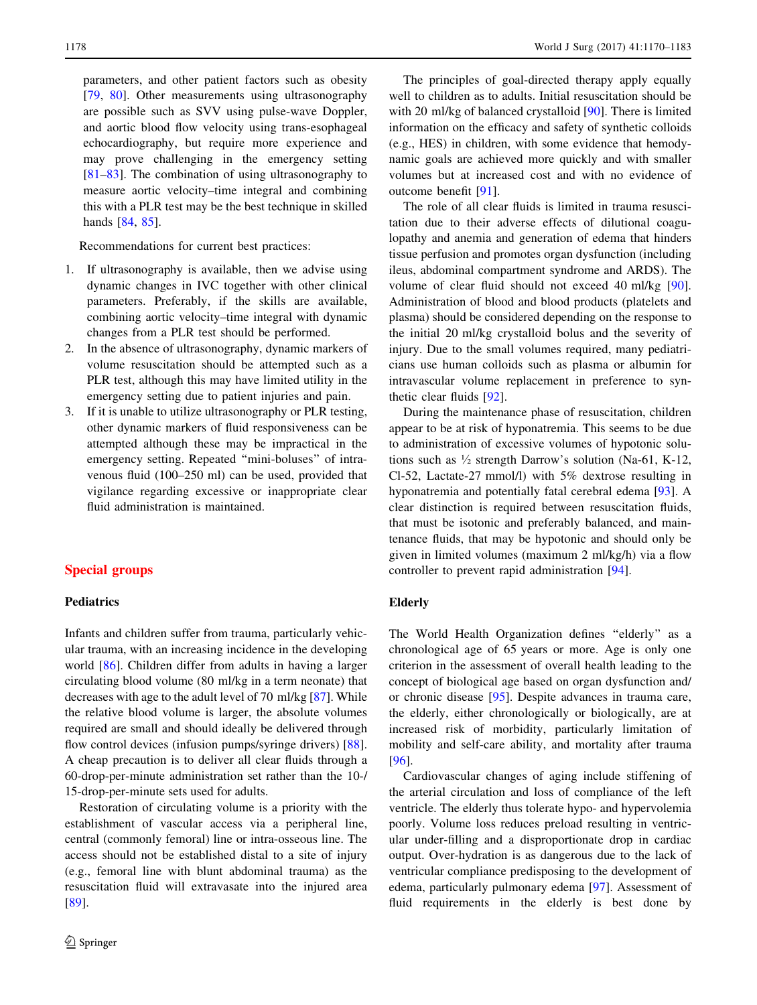parameters, and other patient factors such as obesity [[79,](#page-12-0) [80](#page-12-0)]. Other measurements using ultrasonography are possible such as SVV using pulse-wave Doppler, and aortic blood flow velocity using trans-esophageal echocardiography, but require more experience and may prove challenging in the emergency setting [[81–83\]](#page-12-0). The combination of using ultrasonography to measure aortic velocity–time integral and combining this with a PLR test may be the best technique in skilled hands [[84,](#page-12-0) [85](#page-12-0)].

Recommendations for current best practices:

- 1. If ultrasonography is available, then we advise using dynamic changes in IVC together with other clinical parameters. Preferably, if the skills are available, combining aortic velocity–time integral with dynamic changes from a PLR test should be performed.
- 2. In the absence of ultrasonography, dynamic markers of volume resuscitation should be attempted such as a PLR test, although this may have limited utility in the emergency setting due to patient injuries and pain.
- 3. If it is unable to utilize ultrasonography or PLR testing, other dynamic markers of fluid responsiveness can be attempted although these may be impractical in the emergency setting. Repeated ''mini-boluses'' of intravenous fluid (100–250 ml) can be used, provided that vigilance regarding excessive or inappropriate clear fluid administration is maintained.

## Special groups

## **Pediatrics**

Infants and children suffer from trauma, particularly vehicular trauma, with an increasing incidence in the developing world [\[86](#page-12-0)]. Children differ from adults in having a larger circulating blood volume (80 ml/kg in a term neonate) that decreases with age to the adult level of 70 ml/kg [[87\]](#page-12-0). While the relative blood volume is larger, the absolute volumes required are small and should ideally be delivered through flow control devices (infusion pumps/syringe drivers) [\[88](#page-12-0)]. A cheap precaution is to deliver all clear fluids through a 60-drop-per-minute administration set rather than the 10-/ 15-drop-per-minute sets used for adults.

Restoration of circulating volume is a priority with the establishment of vascular access via a peripheral line, central (commonly femoral) line or intra-osseous line. The access should not be established distal to a site of injury (e.g., femoral line with blunt abdominal trauma) as the resuscitation fluid will extravasate into the injured area [\[89](#page-12-0)].

The principles of goal-directed therapy apply equally well to children as to adults. Initial resuscitation should be with 20 ml/kg of balanced crystalloid [[90](#page-12-0)]. There is limited information on the efficacy and safety of synthetic colloids (e.g., HES) in children, with some evidence that hemodynamic goals are achieved more quickly and with smaller volumes but at increased cost and with no evidence of outcome benefit [[91\]](#page-12-0).

The role of all clear fluids is limited in trauma resuscitation due to their adverse effects of dilutional coagulopathy and anemia and generation of edema that hinders tissue perfusion and promotes organ dysfunction (including ileus, abdominal compartment syndrome and ARDS). The volume of clear fluid should not exceed 40 ml/kg [\[90](#page-12-0)]. Administration of blood and blood products (platelets and plasma) should be considered depending on the response to the initial 20 ml/kg crystalloid bolus and the severity of injury. Due to the small volumes required, many pediatricians use human colloids such as plasma or albumin for intravascular volume replacement in preference to synthetic clear fluids [\[92](#page-13-0)].

During the maintenance phase of resuscitation, children appear to be at risk of hyponatremia. This seems to be due to administration of excessive volumes of hypotonic solutions such as  $\frac{1}{2}$  strength Darrow's solution (Na-61, K-12, Cl-52, Lactate-27 mmol/l) with 5% dextrose resulting in hyponatremia and potentially fatal cerebral edema [[93\]](#page-13-0). A clear distinction is required between resuscitation fluids, that must be isotonic and preferably balanced, and maintenance fluids, that may be hypotonic and should only be given in limited volumes (maximum 2 ml/kg/h) via a flow controller to prevent rapid administration [\[94](#page-13-0)].

## Elderly

The World Health Organization defines ''elderly'' as a chronological age of 65 years or more. Age is only one criterion in the assessment of overall health leading to the concept of biological age based on organ dysfunction and/ or chronic disease [[95\]](#page-13-0). Despite advances in trauma care, the elderly, either chronologically or biologically, are at increased risk of morbidity, particularly limitation of mobility and self-care ability, and mortality after trauma [\[96](#page-13-0)].

Cardiovascular changes of aging include stiffening of the arterial circulation and loss of compliance of the left ventricle. The elderly thus tolerate hypo- and hypervolemia poorly. Volume loss reduces preload resulting in ventricular under-filling and a disproportionate drop in cardiac output. Over-hydration is as dangerous due to the lack of ventricular compliance predisposing to the development of edema, particularly pulmonary edema [[97\]](#page-13-0). Assessment of fluid requirements in the elderly is best done by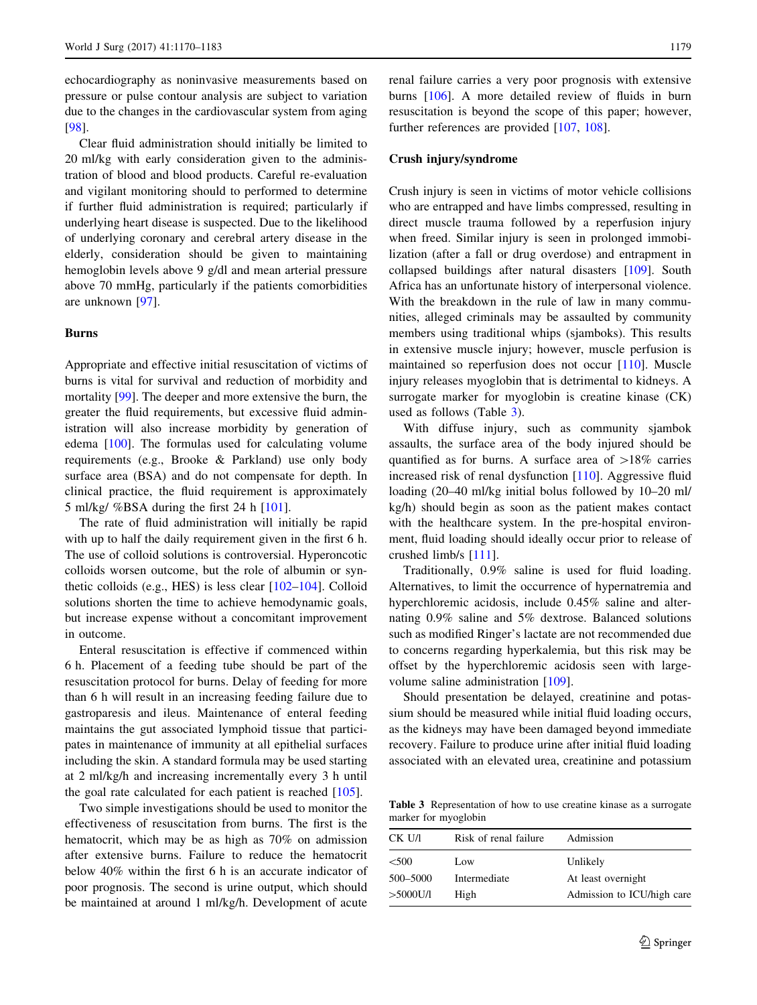echocardiography as noninvasive measurements based on pressure or pulse contour analysis are subject to variation due to the changes in the cardiovascular system from aging [\[98](#page-13-0)].

Clear fluid administration should initially be limited to 20 ml/kg with early consideration given to the administration of blood and blood products. Careful re-evaluation and vigilant monitoring should to performed to determine if further fluid administration is required; particularly if underlying heart disease is suspected. Due to the likelihood of underlying coronary and cerebral artery disease in the elderly, consideration should be given to maintaining hemoglobin levels above 9 g/dl and mean arterial pressure above 70 mmHg, particularly if the patients comorbidities are unknown [\[97](#page-13-0)].

## Burns

Appropriate and effective initial resuscitation of victims of burns is vital for survival and reduction of morbidity and mortality [[99\]](#page-13-0). The deeper and more extensive the burn, the greater the fluid requirements, but excessive fluid administration will also increase morbidity by generation of edema [\[100](#page-13-0)]. The formulas used for calculating volume requirements (e.g., Brooke & Parkland) use only body surface area (BSA) and do not compensate for depth. In clinical practice, the fluid requirement is approximately 5 ml/kg/ %BSA during the first 24 h [[101](#page-13-0)].

The rate of fluid administration will initially be rapid with up to half the daily requirement given in the first 6 h. The use of colloid solutions is controversial. Hyperoncotic colloids worsen outcome, but the role of albumin or synthetic colloids (e.g., HES) is less clear [\[102](#page-13-0)–[104\]](#page-13-0). Colloid solutions shorten the time to achieve hemodynamic goals, but increase expense without a concomitant improvement in outcome.

Enteral resuscitation is effective if commenced within 6 h. Placement of a feeding tube should be part of the resuscitation protocol for burns. Delay of feeding for more than 6 h will result in an increasing feeding failure due to gastroparesis and ileus. Maintenance of enteral feeding maintains the gut associated lymphoid tissue that participates in maintenance of immunity at all epithelial surfaces including the skin. A standard formula may be used starting at 2 ml/kg/h and increasing incrementally every 3 h until the goal rate calculated for each patient is reached [[105\]](#page-13-0).

Two simple investigations should be used to monitor the effectiveness of resuscitation from burns. The first is the hematocrit, which may be as high as 70% on admission after extensive burns. Failure to reduce the hematocrit below 40% within the first 6 h is an accurate indicator of poor prognosis. The second is urine output, which should be maintained at around 1 ml/kg/h. Development of acute

renal failure carries a very poor prognosis with extensive burns [\[106\]](#page-13-0). A more detailed review of fluids in burn resuscitation is beyond the scope of this paper; however, further references are provided [\[107,](#page-13-0) [108\]](#page-13-0).

## Crush injury/syndrome

Crush injury is seen in victims of motor vehicle collisions who are entrapped and have limbs compressed, resulting in direct muscle trauma followed by a reperfusion injury when freed. Similar injury is seen in prolonged immobilization (after a fall or drug overdose) and entrapment in collapsed buildings after natural disasters [\[109](#page-13-0)]. South Africa has an unfortunate history of interpersonal violence. With the breakdown in the rule of law in many communities, alleged criminals may be assaulted by community members using traditional whips (sjamboks). This results in extensive muscle injury; however, muscle perfusion is maintained so reperfusion does not occur [\[110](#page-13-0)]. Muscle injury releases myoglobin that is detrimental to kidneys. A surrogate marker for myoglobin is creatine kinase (CK) used as follows (Table 3).

With diffuse injury, such as community sjambok assaults, the surface area of the body injured should be quantified as for burns. A surface area of  $>18\%$  carries increased risk of renal dysfunction [[110\]](#page-13-0). Aggressive fluid loading (20–40 ml/kg initial bolus followed by 10–20 ml/ kg/h) should begin as soon as the patient makes contact with the healthcare system. In the pre-hospital environment, fluid loading should ideally occur prior to release of crushed limb/s [\[111](#page-13-0)].

Traditionally, 0.9% saline is used for fluid loading. Alternatives, to limit the occurrence of hypernatremia and hyperchloremic acidosis, include 0.45% saline and alternating 0.9% saline and 5% dextrose. Balanced solutions such as modified Ringer's lactate are not recommended due to concerns regarding hyperkalemia, but this risk may be offset by the hyperchloremic acidosis seen with largevolume saline administration [[109\]](#page-13-0).

Should presentation be delayed, creatinine and potassium should be measured while initial fluid loading occurs, as the kidneys may have been damaged beyond immediate recovery. Failure to produce urine after initial fluid loading associated with an elevated urea, creatinine and potassium

Table 3 Representation of how to use creatine kinase as a surrogate marker for myoglobin

| CK U/I      | Risk of renal failure | Admission                  |
|-------------|-----------------------|----------------------------|
| < 500       | Low.                  | Unlikely                   |
| 500-5000    | Intermediate          | At least overnight         |
| $>5000$ U/l | High                  | Admission to ICU/high care |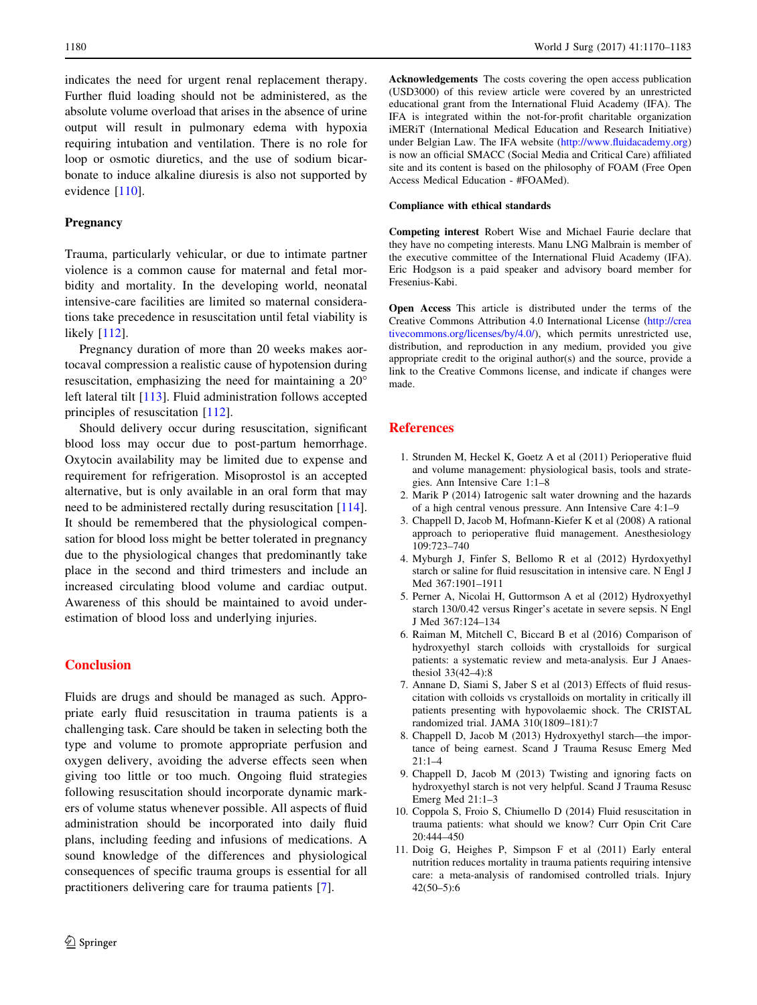<span id="page-10-0"></span>indicates the need for urgent renal replacement therapy. Further fluid loading should not be administered, as the absolute volume overload that arises in the absence of urine output will result in pulmonary edema with hypoxia requiring intubation and ventilation. There is no role for loop or osmotic diuretics, and the use of sodium bicarbonate to induce alkaline diuresis is also not supported by evidence [\[110](#page-13-0)].

#### **Pregnancy**

Trauma, particularly vehicular, or due to intimate partner violence is a common cause for maternal and fetal morbidity and mortality. In the developing world, neonatal intensive-care facilities are limited so maternal considerations take precedence in resuscitation until fetal viability is likely [[112\]](#page-13-0).

Pregnancy duration of more than 20 weeks makes aortocaval compression a realistic cause of hypotension during resuscitation, emphasizing the need for maintaining a 20 left lateral tilt [[113\]](#page-13-0). Fluid administration follows accepted principles of resuscitation [[112\]](#page-13-0).

Should delivery occur during resuscitation, significant blood loss may occur due to post-partum hemorrhage. Oxytocin availability may be limited due to expense and requirement for refrigeration. Misoprostol is an accepted alternative, but is only available in an oral form that may need to be administered rectally during resuscitation [\[114](#page-13-0)]. It should be remembered that the physiological compensation for blood loss might be better tolerated in pregnancy due to the physiological changes that predominantly take place in the second and third trimesters and include an increased circulating blood volume and cardiac output. Awareness of this should be maintained to avoid underestimation of blood loss and underlying injuries.

## **Conclusion**

Fluids are drugs and should be managed as such. Appropriate early fluid resuscitation in trauma patients is a challenging task. Care should be taken in selecting both the type and volume to promote appropriate perfusion and oxygen delivery, avoiding the adverse effects seen when giving too little or too much. Ongoing fluid strategies following resuscitation should incorporate dynamic markers of volume status whenever possible. All aspects of fluid administration should be incorporated into daily fluid plans, including feeding and infusions of medications. A sound knowledge of the differences and physiological consequences of specific trauma groups is essential for all practitioners delivering care for trauma patients [7].

Acknowledgements The costs covering the open access publication (USD3000) of this review article were covered by an unrestricted educational grant from the International Fluid Academy (IFA). The IFA is integrated within the not-for-profit charitable organization iMERiT (International Medical Education and Research Initiative) under Belgian Law. The IFA website [\(http://www.fluidacademy.org](http://www.fluidacademy.org)) is now an official SMACC (Social Media and Critical Care) affiliated site and its content is based on the philosophy of FOAM (Free Open Access Medical Education - #FOAMed).

## Compliance with ethical standards

Competing interest Robert Wise and Michael Faurie declare that they have no competing interests. Manu LNG Malbrain is member of the executive committee of the International Fluid Academy (IFA). Eric Hodgson is a paid speaker and advisory board member for Fresenius-Kabi.

Open Access This article is distributed under the terms of the Creative Commons Attribution 4.0 International License ([http://crea](http://creativecommons.org/licenses/by/4.0/) [tivecommons.org/licenses/by/4.0/\)](http://creativecommons.org/licenses/by/4.0/), which permits unrestricted use, distribution, and reproduction in any medium, provided you give appropriate credit to the original author(s) and the source, provide a link to the Creative Commons license, and indicate if changes were made.

## References

- 1. Strunden M, Heckel K, Goetz A et al (2011) Perioperative fluid and volume management: physiological basis, tools and strategies. Ann Intensive Care 1:1–8
- 2. Marik P (2014) Iatrogenic salt water drowning and the hazards of a high central venous pressure. Ann Intensive Care 4:1–9
- 3. Chappell D, Jacob M, Hofmann-Kiefer K et al (2008) A rational approach to perioperative fluid management. Anesthesiology 109:723–740
- 4. Myburgh J, Finfer S, Bellomo R et al (2012) Hyrdoxyethyl starch or saline for fluid resuscitation in intensive care. N Engl J Med 367:1901–1911
- 5. Perner A, Nicolai H, Guttormson A et al (2012) Hydroxyethyl starch 130/0.42 versus Ringer's acetate in severe sepsis. N Engl J Med 367:124–134
- 6. Raiman M, Mitchell C, Biccard B et al (2016) Comparison of hydroxyethyl starch colloids with crystalloids for surgical patients: a systematic review and meta-analysis. Eur J Anaesthesiol 33(42–4):8
- 7. Annane D, Siami S, Jaber S et al (2013) Effects of fluid resuscitation with colloids vs crystalloids on mortality in critically ill patients presenting with hypovolaemic shock. The CRISTAL randomized trial. JAMA 310(1809–181):7
- 8. Chappell D, Jacob M (2013) Hydroxyethyl starch—the importance of being earnest. Scand J Trauma Resusc Emerg Med  $21:1-4$
- 9. Chappell D, Jacob M (2013) Twisting and ignoring facts on hydroxyethyl starch is not very helpful. Scand J Trauma Resusc Emerg Med 21:1–3
- 10. Coppola S, Froio S, Chiumello D (2014) Fluid resuscitation in trauma patients: what should we know? Curr Opin Crit Care 20:444–450
- 11. Doig G, Heighes P, Simpson F et al (2011) Early enteral nutrition reduces mortality in trauma patients requiring intensive care: a meta-analysis of randomised controlled trials. Injury 42(50–5):6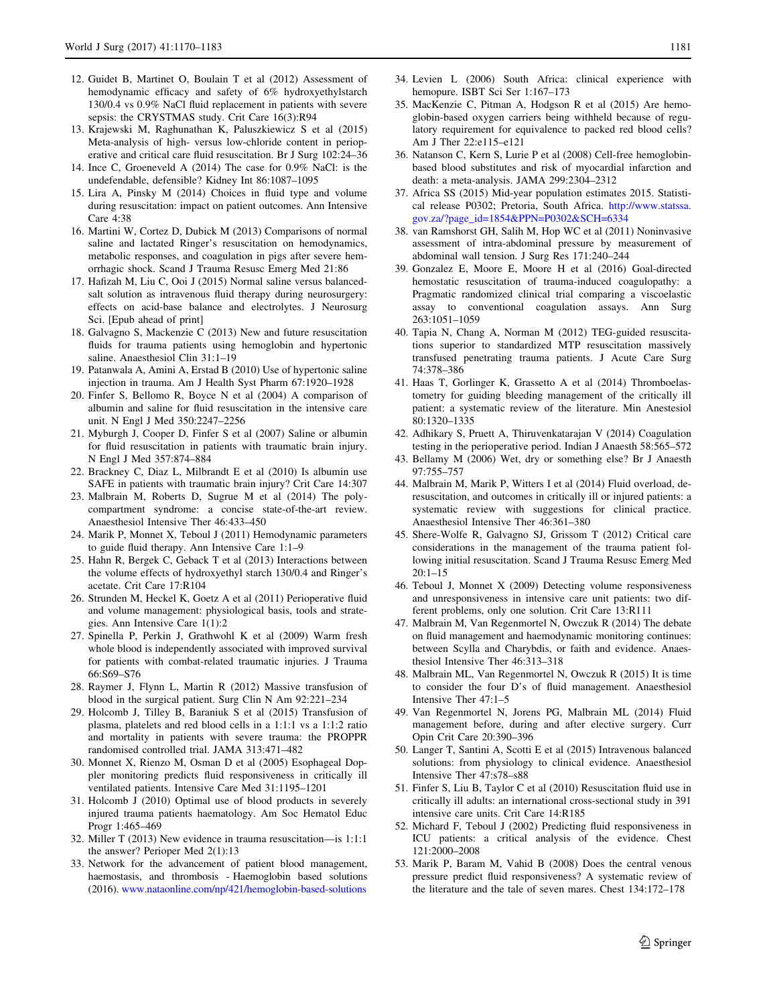- <span id="page-11-0"></span>12. Guidet B, Martinet O, Boulain T et al (2012) Assessment of hemodynamic efficacy and safety of 6% hydroxyethylstarch 130/0.4 vs 0.9% NaCl fluid replacement in patients with severe sepsis: the CRYSTMAS study. Crit Care 16(3):R94
- 13. Krajewski M, Raghunathan K, Paluszkiewicz S et al (2015) Meta-analysis of high- versus low-chloride content in perioperative and critical care fluid resuscitation. Br J Surg 102:24–36
- 14. Ince C, Groeneveld A (2014) The case for 0.9% NaCl: is the undefendable, defensible? Kidney Int 86:1087–1095
- 15. Lira A, Pinsky M (2014) Choices in fluid type and volume during resuscitation: impact on patient outcomes. Ann Intensive  $Care 4.38$
- 16. Martini W, Cortez D, Dubick M (2013) Comparisons of normal saline and lactated Ringer's resuscitation on hemodynamics, metabolic responses, and coagulation in pigs after severe hemorrhagic shock. Scand J Trauma Resusc Emerg Med 21:86
- 17. Hafizah M, Liu C, Ooi J (2015) Normal saline versus balancedsalt solution as intravenous fluid therapy during neurosurgery: effects on acid-base balance and electrolytes. J Neurosurg Sci. [Epub ahead of print]
- 18. Galvagno S, Mackenzie C (2013) New and future resuscitation fluids for trauma patients using hemoglobin and hypertonic saline. Anaesthesiol Clin 31:1–19
- 19. Patanwala A, Amini A, Erstad B (2010) Use of hypertonic saline injection in trauma. Am J Health Syst Pharm 67:1920–1928
- 20. Finfer S, Bellomo R, Boyce N et al (2004) A comparison of albumin and saline for fluid resuscitation in the intensive care unit. N Engl J Med 350:2247–2256
- 21. Myburgh J, Cooper D, Finfer S et al (2007) Saline or albumin for fluid resuscitation in patients with traumatic brain injury. N Engl J Med 357:874–884
- 22. Brackney C, Diaz L, Milbrandt E et al (2010) Is albumin use SAFE in patients with traumatic brain injury? Crit Care 14:307
- 23. Malbrain M, Roberts D, Sugrue M et al (2014) The polycompartment syndrome: a concise state-of-the-art review. Anaesthesiol Intensive Ther 46:433–450
- 24. Marik P, Monnet X, Teboul J (2011) Hemodynamic parameters to guide fluid therapy. Ann Intensive Care 1:1–9
- 25. Hahn R, Bergek C, Geback T et al (2013) Interactions between the volume effects of hydroxyethyl starch 130/0.4 and Ringer's acetate. Crit Care 17:R104
- 26. Strunden M, Heckel K, Goetz A et al (2011) Perioperative fluid and volume management: physiological basis, tools and strategies. Ann Intensive Care 1(1):2
- 27. Spinella P, Perkin J, Grathwohl K et al (2009) Warm fresh whole blood is independently associated with improved survival for patients with combat-related traumatic injuries. J Trauma 66:S69–S76
- 28. Raymer J, Flynn L, Martin R (2012) Massive transfusion of blood in the surgical patient. Surg Clin N Am 92:221–234
- 29. Holcomb J, Tilley B, Baraniuk S et al (2015) Transfusion of plasma, platelets and red blood cells in a 1:1:1 vs a 1:1:2 ratio and mortality in patients with severe trauma: the PROPPR randomised controlled trial. JAMA 313:471–482
- 30. Monnet X, Rienzo M, Osman D et al (2005) Esophageal Doppler monitoring predicts fluid responsiveness in critically ill ventilated patients. Intensive Care Med 31:1195–1201
- 31. Holcomb J (2010) Optimal use of blood products in severely injured trauma patients haematology. Am Soc Hematol Educ Progr 1:465–469
- 32. Miller T (2013) New evidence in trauma resuscitation—is 1:1:1 the answer? Perioper Med 2(1):13
- 33. Network for the advancement of patient blood management, haemostasis, and thrombosis - Haemoglobin based solutions (2016). [www.nataonline.com/np/421/hemoglobin-based-solutions](http://www.nataonline.com/np/421/hemoglobin-based-solutions)
- 34. Levien L (2006) South Africa: clinical experience with hemopure. ISBT Sci Ser 1:167–173
- 35. MacKenzie C, Pitman A, Hodgson R et al (2015) Are hemoglobin-based oxygen carriers being withheld because of regulatory requirement for equivalence to packed red blood cells? Am J Ther 22:e115–e121
- 36. Natanson C, Kern S, Lurie P et al (2008) Cell-free hemoglobinbased blood substitutes and risk of myocardial infarction and death: a meta-analysis. JAMA 299:2304–2312
- 37. Africa SS (2015) Mid-year population estimates 2015. Statistical release P0302; Pretoria, South Africa. [http://www.statssa.](http://www.statssa.gov.za/%3fpage_id%3d1854%26PPN%3dP0302%26SCH%3d6334) [gov.za/?page\\_id=1854&PPN=P0302&SCH=6334](http://www.statssa.gov.za/%3fpage_id%3d1854%26PPN%3dP0302%26SCH%3d6334)
- 38. van Ramshorst GH, Salih M, Hop WC et al (2011) Noninvasive assessment of intra-abdominal pressure by measurement of abdominal wall tension. J Surg Res 171:240–244
- 39. Gonzalez E, Moore E, Moore H et al (2016) Goal-directed hemostatic resuscitation of trauma-induced coagulopathy: a Pragmatic randomized clinical trial comparing a viscoelastic assay to conventional coagulation assays. Ann Surg 263:1051–1059
- 40. Tapia N, Chang A, Norman M (2012) TEG-guided resuscitations superior to standardized MTP resuscitation massively transfused penetrating trauma patients. J Acute Care Surg 74:378–386
- 41. Haas T, Gorlinger K, Grassetto A et al (2014) Thromboelastometry for guiding bleeding management of the critically ill patient: a systematic review of the literature. Min Anestesiol 80:1320–1335
- 42. Adhikary S, Pruett A, Thiruvenkatarajan V (2014) Coagulation testing in the perioperative period. Indian J Anaesth 58:565–572
- 43. Bellamy M (2006) Wet, dry or something else? Br J Anaesth 97:755–757
- 44. Malbrain M, Marik P, Witters I et al (2014) Fluid overload, deresuscitation, and outcomes in critically ill or injured patients: a systematic review with suggestions for clinical practice. Anaesthesiol Intensive Ther 46:361–380
- 45. Shere-Wolfe R, Galvagno SJ, Grissom T (2012) Critical care considerations in the management of the trauma patient following initial resuscitation. Scand J Trauma Resusc Emerg Med  $20:1-15$
- 46. Teboul J, Monnet X (2009) Detecting volume responsiveness and unresponsiveness in intensive care unit patients: two different problems, only one solution. Crit Care 13:R111
- 47. Malbrain M, Van Regenmortel N, Owczuk R (2014) The debate on fluid management and haemodynamic monitoring continues: between Scylla and Charybdis, or faith and evidence. Anaesthesiol Intensive Ther 46:313–318
- 48. Malbrain ML, Van Regenmortel N, Owczuk R (2015) It is time to consider the four D's of fluid management. Anaesthesiol Intensive Ther 47:1–5
- 49. Van Regenmortel N, Jorens PG, Malbrain ML (2014) Fluid management before, during and after elective surgery. Curr Opin Crit Care 20:390–396
- 50. Langer T, Santini A, Scotti E et al (2015) Intravenous balanced solutions: from physiology to clinical evidence. Anaesthesiol Intensive Ther 47:s78–s88
- 51. Finfer S, Liu B, Taylor C et al (2010) Resuscitation fluid use in critically ill adults: an international cross-sectional study in 391 intensive care units. Crit Care 14:R185
- 52. Michard F, Teboul J (2002) Predicting fluid responsiveness in ICU patients: a critical analysis of the evidence. Chest 121:2000–2008
- 53. Marik P, Baram M, Vahid B (2008) Does the central venous pressure predict fluid responsiveness? A systematic review of the literature and the tale of seven mares. Chest 134:172–178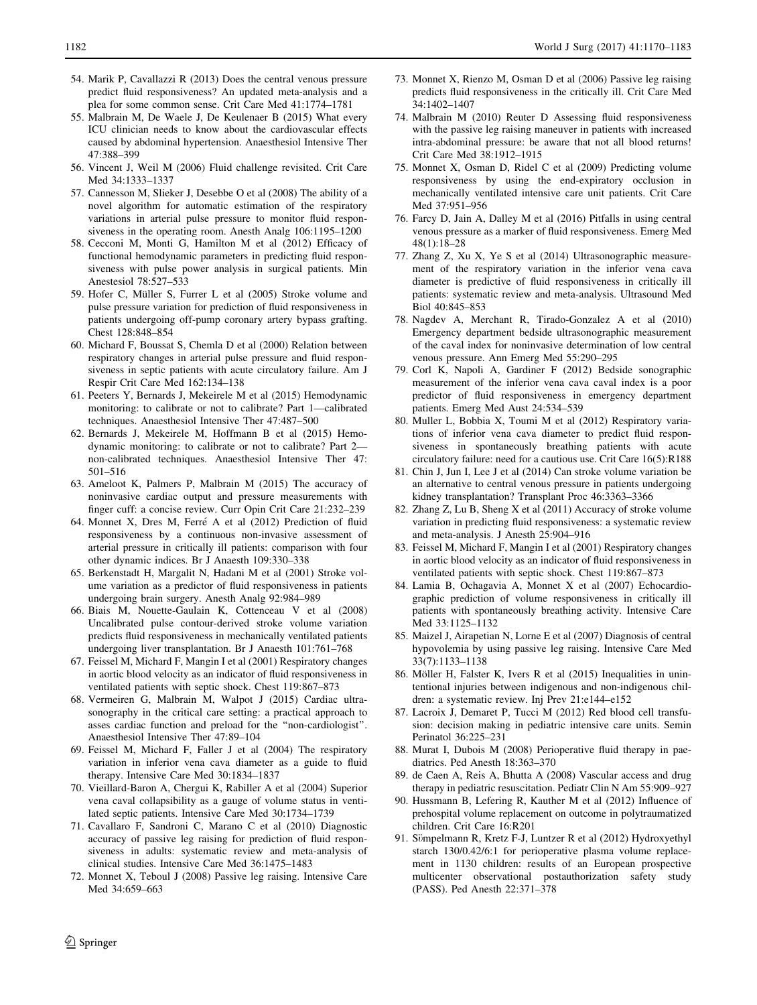- <span id="page-12-0"></span>54. Marik P, Cavallazzi R (2013) Does the central venous pressure predict fluid responsiveness? An updated meta-analysis and a plea for some common sense. Crit Care Med 41:1774–1781
- 55. Malbrain M, De Waele J, De Keulenaer B (2015) What every ICU clinician needs to know about the cardiovascular effects caused by abdominal hypertension. Anaesthesiol Intensive Ther 47:388–399
- 56. Vincent J, Weil M (2006) Fluid challenge revisited. Crit Care Med 34:1333–1337
- 57. Cannesson M, Slieker J, Desebbe O et al (2008) The ability of a novel algorithm for automatic estimation of the respiratory variations in arterial pulse pressure to monitor fluid responsiveness in the operating room. Anesth Analg 106:1195–1200
- 58. Cecconi M, Monti G, Hamilton M et al (2012) Efficacy of functional hemodynamic parameters in predicting fluid responsiveness with pulse power analysis in surgical patients. Min Anestesiol 78:527–533
- 59. Hofer C, Müller S, Furrer L et al (2005) Stroke volume and pulse pressure variation for prediction of fluid responsiveness in patients undergoing off-pump coronary artery bypass grafting. Chest 128:848–854
- 60. Michard F, Boussat S, Chemla D et al (2000) Relation between respiratory changes in arterial pulse pressure and fluid responsiveness in septic patients with acute circulatory failure. Am J Respir Crit Care Med 162:134–138
- 61. Peeters Y, Bernards J, Mekeirele M et al (2015) Hemodynamic monitoring: to calibrate or not to calibrate? Part 1—calibrated techniques. Anaesthesiol Intensive Ther 47:487–500
- 62. Bernards J, Mekeirele M, Hoffmann B et al (2015) Hemodynamic monitoring: to calibrate or not to calibrate? Part 2 non-calibrated techniques. Anaesthesiol Intensive Ther 47: 501–516
- 63. Ameloot K, Palmers P, Malbrain M (2015) The accuracy of noninvasive cardiac output and pressure measurements with finger cuff: a concise review. Curr Opin Crit Care 21:232–239
- 64. Monnet X, Dres M, Ferré A et al (2012) Prediction of fluid responsiveness by a continuous non-invasive assessment of arterial pressure in critically ill patients: comparison with four other dynamic indices. Br J Anaesth 109:330–338
- 65. Berkenstadt H, Margalit N, Hadani M et al (2001) Stroke volume variation as a predictor of fluid responsiveness in patients undergoing brain surgery. Anesth Analg 92:984–989
- 66. Biais M, Nouette-Gaulain K, Cottenceau V et al (2008) Uncalibrated pulse contour-derived stroke volume variation predicts fluid responsiveness in mechanically ventilated patients undergoing liver transplantation. Br J Anaesth 101:761–768
- 67. Feissel M, Michard F, Mangin I et al (2001) Respiratory changes in aortic blood velocity as an indicator of fluid responsiveness in ventilated patients with septic shock. Chest 119:867–873
- 68. Vermeiren G, Malbrain M, Walpot J (2015) Cardiac ultrasonography in the critical care setting: a practical approach to asses cardiac function and preload for the ''non-cardiologist''. Anaesthesiol Intensive Ther 47:89–104
- 69. Feissel M, Michard F, Faller J et al (2004) The respiratory variation in inferior vena cava diameter as a guide to fluid therapy. Intensive Care Med 30:1834–1837
- 70. Vieillard-Baron A, Chergui K, Rabiller A et al (2004) Superior vena caval collapsibility as a gauge of volume status in ventilated septic patients. Intensive Care Med 30:1734–1739
- 71. Cavallaro F, Sandroni C, Marano C et al (2010) Diagnostic accuracy of passive leg raising for prediction of fluid responsiveness in adults: systematic review and meta-analysis of clinical studies. Intensive Care Med 36:1475–1483
- 72. Monnet X, Teboul J (2008) Passive leg raising. Intensive Care Med 34:659–663
- 73. Monnet X, Rienzo M, Osman D et al (2006) Passive leg raising predicts fluid responsiveness in the critically ill. Crit Care Med 34:1402–1407
- 74. Malbrain M (2010) Reuter D Assessing fluid responsiveness with the passive leg raising maneuver in patients with increased intra-abdominal pressure: be aware that not all blood returns! Crit Care Med 38:1912–1915
- 75. Monnet X, Osman D, Ridel C et al (2009) Predicting volume responsiveness by using the end-expiratory occlusion in mechanically ventilated intensive care unit patients. Crit Care Med 37:951–956
- 76. Farcy D, Jain A, Dalley M et al (2016) Pitfalls in using central venous pressure as a marker of fluid responsiveness. Emerg Med 48(1):18–28
- 77. Zhang Z, Xu X, Ye S et al (2014) Ultrasonographic measurement of the respiratory variation in the inferior vena cava diameter is predictive of fluid responsiveness in critically ill patients: systematic review and meta-analysis. Ultrasound Med Biol 40:845–853
- 78. Nagdev A, Merchant R, Tirado-Gonzalez A et al (2010) Emergency department bedside ultrasonographic measurement of the caval index for noninvasive determination of low central venous pressure. Ann Emerg Med 55:290–295
- 79. Corl K, Napoli A, Gardiner F (2012) Bedside sonographic measurement of the inferior vena cava caval index is a poor predictor of fluid responsiveness in emergency department patients. Emerg Med Aust 24:534–539
- 80. Muller L, Bobbia X, Toumi M et al (2012) Respiratory variations of inferior vena cava diameter to predict fluid responsiveness in spontaneously breathing patients with acute circulatory failure: need for a cautious use. Crit Care 16(5):R188
- 81. Chin J, Jun I, Lee J et al (2014) Can stroke volume variation be an alternative to central venous pressure in patients undergoing kidney transplantation? Transplant Proc 46:3363–3366
- 82. Zhang Z, Lu B, Sheng X et al (2011) Accuracy of stroke volume variation in predicting fluid responsiveness: a systematic review and meta-analysis. J Anesth 25:904–916
- 83. Feissel M, Michard F, Mangin I et al (2001) Respiratory changes in aortic blood velocity as an indicator of fluid responsiveness in ventilated patients with septic shock. Chest 119:867–873
- 84. Lamia B, Ochagavia A, Monnet X et al (2007) Echocardiographic prediction of volume responsiveness in critically ill patients with spontaneously breathing activity. Intensive Care Med 33:1125–1132
- 85. Maizel J, Airapetian N, Lorne E et al (2007) Diagnosis of central hypovolemia by using passive leg raising. Intensive Care Med 33(7):1133–1138
- 86. Möller H, Falster K, Ivers R et al (2015) Inequalities in unintentional injuries between indigenous and non-indigenous children: a systematic review. Inj Prev 21:e144–e152
- 87. Lacroix J, Demaret P, Tucci M (2012) Red blood cell transfusion: decision making in pediatric intensive care units. Semin Perinatol 36:225–231
- 88. Murat I, Dubois M (2008) Perioperative fluid therapy in paediatrics. Ped Anesth 18:363–370
- 89. de Caen A, Reis A, Bhutta A (2008) Vascular access and drug therapy in pediatric resuscitation. Pediatr Clin N Am 55:909–927
- 90. Hussmann B, Lefering R, Kauther M et al (2012) Influence of prehospital volume replacement on outcome in polytraumatized children. Crit Care 16:R201
- 91. Sömpelmann R, Kretz F-J, Luntzer R et al (2012) Hydroxyethyl starch 130/0.42/6:1 for perioperative plasma volume replacement in 1130 children: results of an European prospective multicenter observational postauthorization safety study (PASS). Ped Anesth 22:371–378